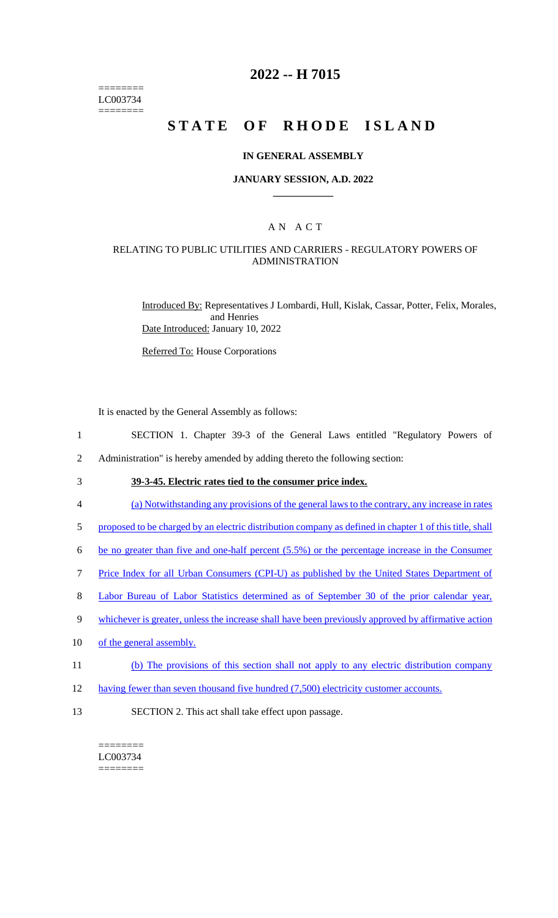======== LC003734 ========

## **2022 -- H 7015**

# **STATE OF RHODE ISLAND**

#### **IN GENERAL ASSEMBLY**

#### **JANUARY SESSION, A.D. 2022 \_\_\_\_\_\_\_\_\_\_\_\_**

## A N A C T

#### RELATING TO PUBLIC UTILITIES AND CARRIERS - REGULATORY POWERS OF ADMINISTRATION

Introduced By: Representatives J Lombardi, Hull, Kislak, Cassar, Potter, Felix, Morales, and Henries Date Introduced: January 10, 2022

Referred To: House Corporations

It is enacted by the General Assembly as follows:

- 1 SECTION 1. Chapter 39-3 of the General Laws entitled "Regulatory Powers of
- 2 Administration" is hereby amended by adding thereto the following section:
- 3 **39-3-45. Electric rates tied to the consumer price index.**
- 4 (a) Notwithstanding any provisions of the general laws to the contrary, any increase in rates
- 5 proposed to be charged by an electric distribution company as defined in chapter 1 of this title, shall
- 6 be no greater than five and one-half percent (5.5%) or the percentage increase in the Consumer
- 7 Price Index for all Urban Consumers (CPI-U) as published by the United States Department of
- 8 Labor Bureau of Labor Statistics determined as of September 30 of the prior calendar year,
- 9 whichever is greater, unless the increase shall have been previously approved by affirmative action
- 10 of the general assembly.
- 11 (b) The provisions of this section shall not apply to any electric distribution company
- 12 having fewer than seven thousand five hundred (7,500) electricity customer accounts.
- 13 SECTION 2. This act shall take effect upon passage.

======== LC003734 ========